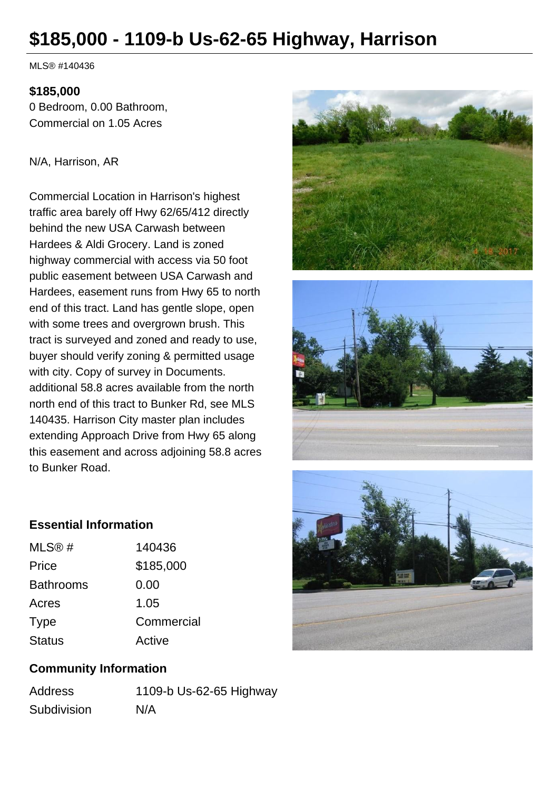# **\$185,000 - 1109-b Us-62-65 Highway, Harrison**

MLS® #140436

### **\$185,000**

0 Bedroom, 0.00 Bathroom, Commercial on 1.05 Acres

#### N/A, Harrison, AR

Commercial Location in Harrison's highest traffic area barely off Hwy 62/65/412 directly behind the new USA Carwash between Hardees & Aldi Grocery. Land is zoned highway commercial with access via 50 foot public easement between USA Carwash and Hardees, easement runs from Hwy 65 to north end of this tract. Land has gentle slope, open with some trees and overgrown brush. This tract is surveyed and zoned and ready to use, buyer should verify zoning & permitted usage with city. Copy of survey in Documents. additional 58.8 acres available from the north north end of this tract to Bunker Rd, see MLS 140435. Harrison City master plan includes extending Approach Drive from Hwy 65 along this easement and across adjoining 58.8 acres to Bunker Road.







## **Essential Information**

| MLS@#            | 140436     |
|------------------|------------|
| Price            | \$185,000  |
| <b>Bathrooms</b> | 0.00       |
| Acres            | 1.05       |
| <b>Type</b>      | Commercial |
| <b>Status</b>    | Active     |

# **Community Information**

| <b>Address</b> | 1109-b Us-62-65 Highway |
|----------------|-------------------------|
| Subdivision    | N/A                     |